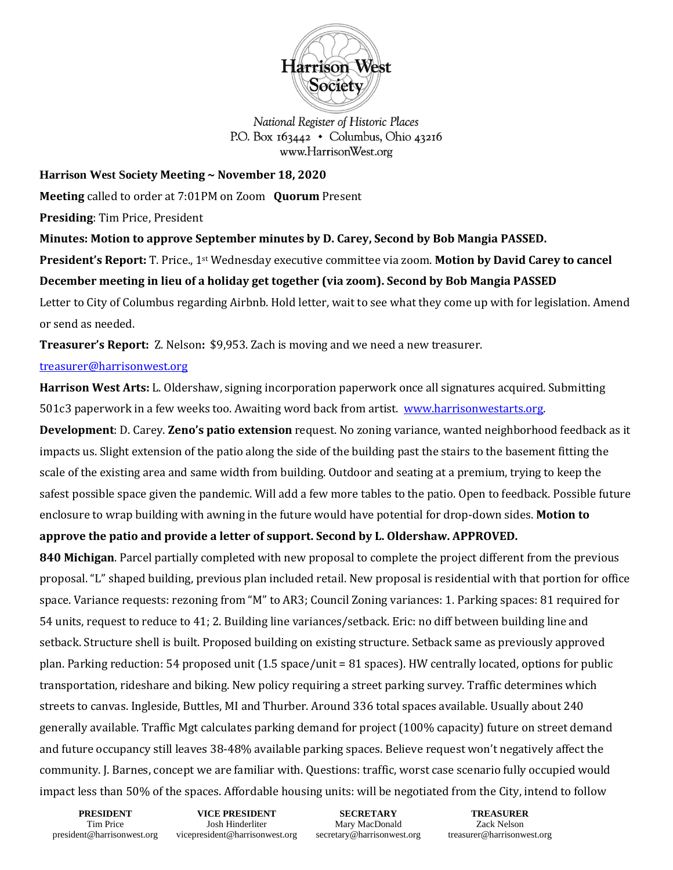

National Register of Historic Places P.O. Box  $163442 \cdot$  Columbus, Ohio 43216 www.HarrisonWest.org

**Harrison West Society Meeting ~ November 18, 2020**

**Meeting** called to order at 7:01PM on Zoom **Quorum** Present

**Presiding**: Tim Price, President

**Minutes: Motion to approve September minutes by D. Carey, Second by Bob Mangia PASSED. President's Report:** T. Price., 1st Wednesday executive committee via zoom. **Motion by David Carey to cancel December meeting in lieu of a holiday get together (via zoom). Second by Bob Mangia PASSED**  Letter to City of Columbus regarding Airbnb. Hold letter, wait to see what they come up with for legislation. Amend or send as needed.

**Treasurer's Report:** Z. Nelson**:** \$9,953. Zach is moving and we need a new treasurer.

## [treasurer@harrisonwest.org](mailto:treasurer@harrisonwest.org)

**Harrison West Arts:** L. Oldershaw, signing incorporation paperwork once all signatures acquired. Submitting 501c3 paperwork in a few weeks too. Awaiting word back from artist. [www.harrisonwestarts.org.](http://www.harrisonwestarts.org/) 

**Development**: D. Carey. **Zeno's patio extension** request. No zoning variance, wanted neighborhood feedback as it impacts us. Slight extension of the patio along the side of the building past the stairs to the basement fitting the scale of the existing area and same width from building. Outdoor and seating at a premium, trying to keep the safest possible space given the pandemic. Will add a few more tables to the patio. Open to feedback. Possible future enclosure to wrap building with awning in the future would have potential for drop-down sides. **Motion to** 

**approve the patio and provide a letter of support. Second by L. Oldershaw. APPROVED.**

**840 Michigan**. Parcel partially completed with new proposal to complete the project different from the previous proposal. "L" shaped building, previous plan included retail. New proposal is residential with that portion for office space. Variance requests: rezoning from "M" to AR3; Council Zoning variances: 1. Parking spaces: 81 required for 54 units, request to reduce to 41; 2. Building line variances/setback. Eric: no diff between building line and setback. Structure shell is built. Proposed building on existing structure. Setback same as previously approved plan. Parking reduction: 54 proposed unit (1.5 space/unit = 81 spaces). HW centrally located, options for public transportation, rideshare and biking. New policy requiring a street parking survey. Traffic determines which streets to canvas. Ingleside, Buttles, MI and Thurber. Around 336 total spaces available. Usually about 240 generally available. Traffic Mgt calculates parking demand for project (100% capacity) future on street demand and future occupancy still leaves 38-48% available parking spaces. Believe request won't negatively affect the community. J. Barnes, concept we are familiar with. Questions: traffic, worst case scenario fully occupied would impact less than 50% of the spaces. Affordable housing units: will be negotiated from the City, intend to follow

**PRESIDENT** Tim Price president@harrisonwest.org

**VICE PRESIDENT** Josh Hinderliter vicepresident@harrisonwest.org

**SECRETARY** Mary MacDonald secretary@harrisonwest.org

**TREASURER** Zack Nelson treasurer@harrisonwest.org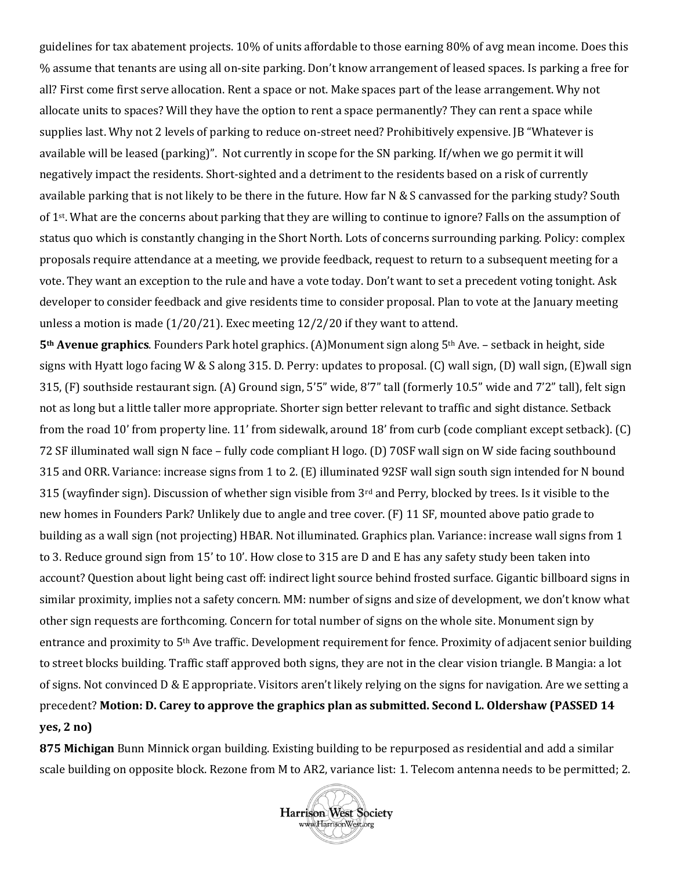guidelines for tax abatement projects. 10% of units affordable to those earning 80% of avg mean income. Does this % assume that tenants are using all on-site parking. Don't know arrangement of leased spaces. Is parking a free for all? First come first serve allocation. Rent a space or not. Make spaces part of the lease arrangement. Why not allocate units to spaces? Will they have the option to rent a space permanently? They can rent a space while supplies last. Why not 2 levels of parking to reduce on-street need? Prohibitively expensive. JB "Whatever is available will be leased (parking)". Not currently in scope for the SN parking. If/when we go permit it will negatively impact the residents. Short-sighted and a detriment to the residents based on a risk of currently available parking that is not likely to be there in the future. How far N & S canvassed for the parking study? South of 1st. What are the concerns about parking that they are willing to continue to ignore? Falls on the assumption of status quo which is constantly changing in the Short North. Lots of concerns surrounding parking. Policy: complex proposals require attendance at a meeting, we provide feedback, request to return to a subsequent meeting for a vote. They want an exception to the rule and have a vote today. Don't want to set a precedent voting tonight. Ask developer to consider feedback and give residents time to consider proposal. Plan to vote at the January meeting unless a motion is made (1/20/21). Exec meeting 12/2/20 if they want to attend.

**5th Avenue graphics**. Founders Park hotel graphics. (A)Monument sign along 5th Ave. – setback in height, side signs with Hyatt logo facing W & S along 315. D. Perry: updates to proposal. (C) wall sign, (D) wall sign, (E)wall sign 315, (F) southside restaurant sign. (A) Ground sign, 5'5" wide, 8'7" tall (formerly 10.5" wide and 7'2" tall), felt sign not as long but a little taller more appropriate. Shorter sign better relevant to traffic and sight distance. Setback from the road 10' from property line. 11' from sidewalk, around 18' from curb (code compliant except setback). (C) 72 SF illuminated wall sign N face – fully code compliant H logo. (D) 70SF wall sign on W side facing southbound 315 and ORR. Variance: increase signs from 1 to 2. (E) illuminated 92SF wall sign south sign intended for N bound 315 (wayfinder sign). Discussion of whether sign visible from 3rd and Perry, blocked by trees. Is it visible to the new homes in Founders Park? Unlikely due to angle and tree cover. (F) 11 SF, mounted above patio grade to building as a wall sign (not projecting) HBAR. Not illuminated. Graphics plan. Variance: increase wall signs from 1 to 3. Reduce ground sign from 15' to 10'. How close to 315 are D and E has any safety study been taken into account? Question about light being cast off: indirect light source behind frosted surface. Gigantic billboard signs in similar proximity, implies not a safety concern. MM: number of signs and size of development, we don't know what other sign requests are forthcoming. Concern for total number of signs on the whole site. Monument sign by entrance and proximity to 5th Ave traffic. Development requirement for fence. Proximity of adjacent senior building to street blocks building. Traffic staff approved both signs, they are not in the clear vision triangle. B Mangia: a lot of signs. Not convinced  $D \& E$  appropriate. Visitors aren't likely relying on the signs for navigation. Are we setting a precedent? **Motion: D. Carey to approve the graphics plan as submitted. Second L. Oldershaw (PASSED 14 yes, 2 no)**

**875 Michigan** Bunn Minnick organ building. Existing building to be repurposed as residential and add a similar scale building on opposite block. Rezone from M to AR2, variance list: 1. Telecom antenna needs to be permitted; 2.